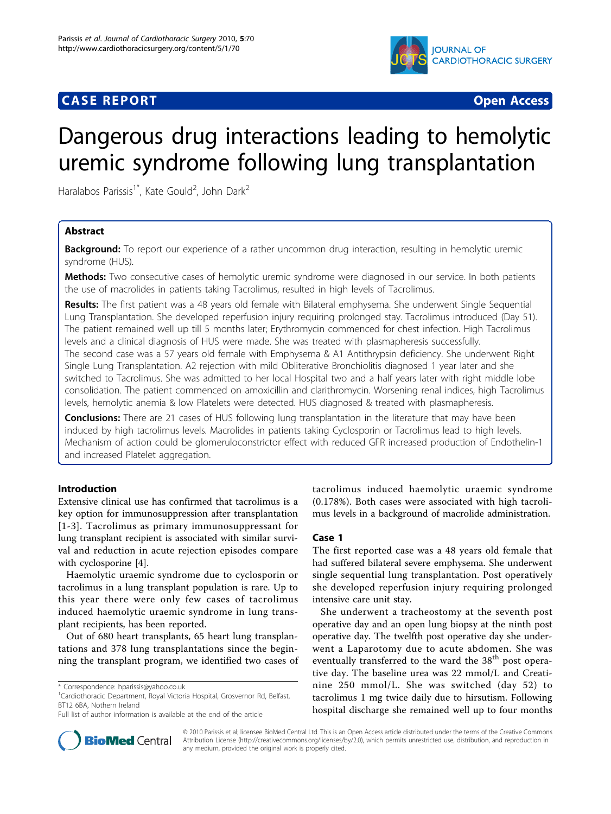## **CASE REPORT CASE REPORT CASE REPORT**



# Dangerous drug interactions leading to hemolytic uremic syndrome following lung transplantation

Haralabos Parissis<sup>1\*</sup>, Kate Gould<sup>2</sup>, John Dark<sup>2</sup>

## Abstract

**Background:** To report our experience of a rather uncommon drug interaction, resulting in hemolytic uremic syndrome (HUS).

Methods: Two consecutive cases of hemolytic uremic syndrome were diagnosed in our service. In both patients the use of macrolides in patients taking Tacrolimus, resulted in high levels of Tacrolimus.

Results: The first patient was a 48 years old female with Bilateral emphysema. She underwent Single Sequential Lung Transplantation. She developed reperfusion injury requiring prolonged stay. Tacrolimus introduced (Day 51). The patient remained well up till 5 months later; Erythromycin commenced for chest infection. High Tacrolimus levels and a clinical diagnosis of HUS were made. She was treated with plasmapheresis successfully. The second case was a 57 years old female with Emphysema & A1 Antithrypsin deficiency. She underwent Right Single Lung Transplantation. A2 rejection with mild Obliterative Bronchiolitis diagnosed 1 year later and she switched to Tacrolimus. She was admitted to her local Hospital two and a half years later with right middle lobe consolidation. The patient commenced on amoxicillin and clarithromycin. Worsening renal indices, high Tacrolimus levels, hemolytic anemia & low Platelets were detected. HUS diagnosed & treated with plasmapheresis.

**Conclusions:** There are 21 cases of HUS following lung transplantation in the literature that may have been induced by high tacrolimus levels. Macrolides in patients taking Cyclosporin or Tacrolimus lead to high levels. Mechanism of action could be glomeruloconstrictor effect with reduced GFR increased production of Endothelin-1 and increased Platelet aggregation.

## Introduction

Extensive clinical use has confirmed that tacrolimus is a key option for immunosuppression after transplantation [[1](#page-3-0)-[3](#page-3-0)]. Tacrolimus as primary immunosuppressant for lung transplant recipient is associated with similar survival and reduction in acute rejection episodes compare with cyclosporine [[4\]](#page-3-0).

Haemolytic uraemic syndrome due to cyclosporin or tacrolimus in a lung transplant population is rare. Up to this year there were only few cases of tacrolimus induced haemolytic uraemic syndrome in lung transplant recipients, has been reported.

Out of 680 heart transplants, 65 heart lung transplantations and 378 lung transplantations since the beginning the transplant program, we identified two cases of

<sup>1</sup>Cardiothoracic Department, Royal Victoria Hospital, Grosvernor Rd, Belfast, BT12 6BA, Nothern Ireland



## Case 1

The first reported case was a 48 years old female that had suffered bilateral severe emphysema. She underwent single sequential lung transplantation. Post operatively she developed reperfusion injury requiring prolonged intensive care unit stay.

She underwent a tracheostomy at the seventh post operative day and an open lung biopsy at the ninth post operative day. The twelfth post operative day she underwent a Laparotomy due to acute abdomen. She was eventually transferred to the ward the 38<sup>th</sup> post operative day. The baseline urea was 22 mmol/L and Creatinine 250 mmol/L. She was switched (day 52) to tacrolimus 1 mg twice daily due to hirsutism. Following hospital discharge she remained well up to four months



© 2010 Parissis et al; licensee BioMed Central Ltd. This is an Open Access article distributed under the terms of the Creative Commons Attribution License [\(http://creativecommons.org/licenses/by/2.0](http://creativecommons.org/licenses/by/2.0)), which permits unrestricted use, distribution, and reproduction in any medium, provided the original work is properly cited.

<sup>\*</sup> Correspondence: [hparissis@yahoo.co.uk](mailto:hparissis@yahoo.co.uk)

Full list of author information is available at the end of the article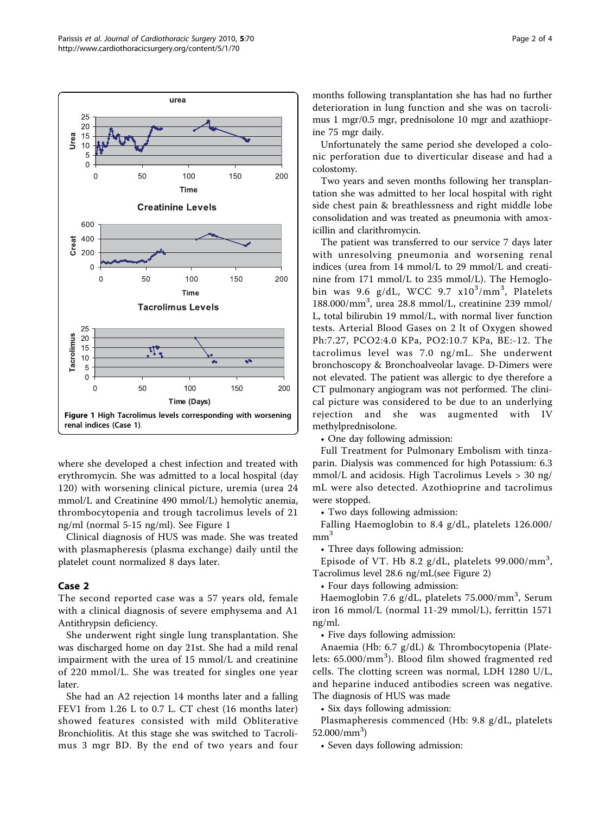

where she developed a chest infection and treated with erythromycin. She was admitted to a local hospital (day 120) with worsening clinical picture, uremia (urea 24 mmol/L and Creatinine 490 mmol/L) hemolytic anemia, thrombocytopenia and trough tacrolimus levels of 21 ng/ml (normal 5-15 ng/ml). See Figure 1

Clinical diagnosis of HUS was made. She was treated with plasmapheresis (plasma exchange) daily until the platelet count normalized 8 days later.

## Case 2

The second reported case was a 57 years old, female with a clinical diagnosis of severe emphysema and A1 Antithrypsin deficiency.

She underwent right single lung transplantation. She was discharged home on day 21st. She had a mild renal impairment with the urea of 15 mmol/L and creatinine of 220 mmol/L. She was treated for singles one year later.

She had an A2 rejection 14 months later and a falling FEV1 from 1.26 L to 0.7 L. CT chest (16 months later) showed features consisted with mild Obliterative Bronchiolitis. At this stage she was switched to Tacrolimus 3 mgr BD. By the end of two years and four months following transplantation she has had no further deterioration in lung function and she was on tacrolimus 1 mgr/0.5 mgr, prednisolone 10 mgr and azathioprine 75 mgr daily.

Unfortunately the same period she developed a colonic perforation due to diverticular disease and had a colostomy.

Two years and seven months following her transplantation she was admitted to her local hospital with right side chest pain & breathlessness and right middle lobe consolidation and was treated as pneumonia with amoxicillin and clarithromycin.

The patient was transferred to our service 7 days later with unresolving pneumonia and worsening renal indices (urea from 14 mmol/L to 29 mmol/L and creatinine from 171 mmol/L to 235 mmol/L). The Hemoglobin was 9.6 g/dL, WCC 9.7  $x10^3/\text{mm}^3$ , Platelets 188.000/mm<sup>3</sup> , urea 28.8 mmol/L, creatinine 239 mmol/ L, total bilirubin 19 mmol/L, with normal liver function tests. Arterial Blood Gases on 2 lt of Oxygen showed Ph:7.27, PCO2:4.0 KPa, PO2:10.7 KPa, BE:-12. The tacrolimus level was 7.0 ng/mL. She underwent bronchoscopy & Bronchoalveolar lavage. D-Dimers were not elevated. The patient was allergic to dye therefore a CT pulmonary angiogram was not performed. The clinical picture was considered to be due to an underlying rejection and she was augmented with IV methylprednisolone.

• One day following admission:

Full Treatment for Pulmonary Embolism with tinzaparin. Dialysis was commenced for high Potassium: 6.3 mmol/L and acidosis. High Tacrolimus Levels > 30 ng/ mL were also detected. Azothioprine and tacrolimus were stopped.

• Two days following admission:

Falling Haemoglobin to 8.4 g/dL, platelets 126.000/  $mm<sup>3</sup>$ 

• Three days following admission:

Episode of VT. Hb 8.2  $g/dL$ , platelets 99.000/mm<sup>3</sup>, Tacrolimus level 28.6 ng/mL(see Figure [2\)](#page-2-0)

• Four days following admission:

Haemoglobin 7.6 g/dL, platelets 75.000/mm<sup>3</sup>, Serum iron 16 mmol/L (normal 11-29 mmol/L), ferrittin 1571 ng/ml.

• Five days following admission:

Anaemia (Hb: 6.7 g/dL) & Thrombocytopenia (Platelets: 65.000/mm<sup>3</sup>). Blood film showed fragmented red cells. The clotting screen was normal, LDH 1280 U/L, and heparine induced antibodies screen was negative. The diagnosis of HUS was made

• Six days following admission:

Plasmapheresis commenced (Hb: 9.8 g/dL, platelets 52.000/mm<sup>3</sup>)

• Seven days following admission: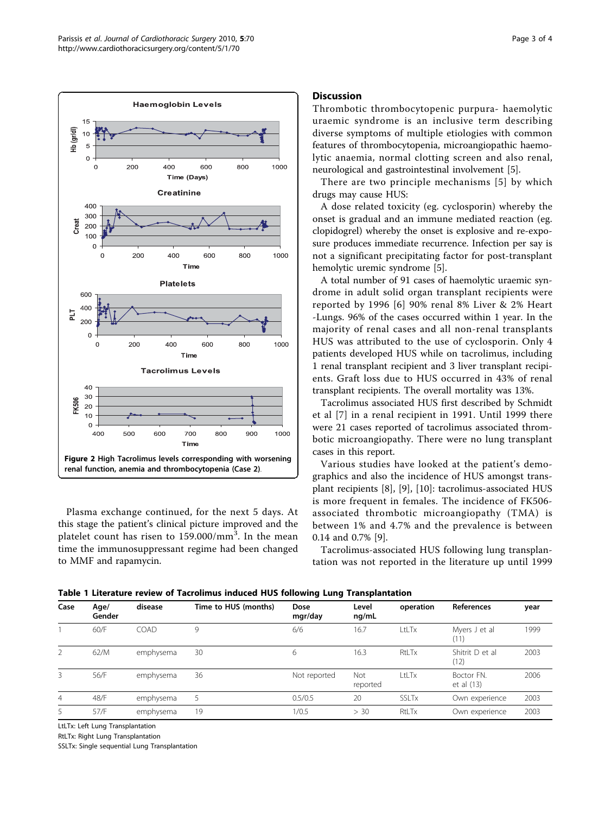<span id="page-2-0"></span>

Plasma exchange continued, for the next 5 days. At this stage the patient's clinical picture improved and the platelet count has risen to 159.000/mm $^{\bar{3}}$ . In the mean time the immunosuppressant regime had been changed to MMF and rapamycin.

## **Discussion**

Thrombotic thrombocytopenic purpura- haemolytic uraemic syndrome is an inclusive term describing diverse symptoms of multiple etiologies with common features of thrombocytopenia, microangiopathic haemolytic anaemia, normal clotting screen and also renal, neurological and gastrointestinal involvement [[5\]](#page-3-0).

There are two principle mechanisms [[5](#page-3-0)] by which drugs may cause HUS:

A dose related toxicity (eg. cyclosporin) whereby the onset is gradual and an immune mediated reaction (eg. clopidogrel) whereby the onset is explosive and re-exposure produces immediate recurrence. Infection per say is not a significant precipitating factor for post-transplant hemolytic uremic syndrome [[5\]](#page-3-0).

A total number of 91 cases of haemolytic uraemic syndrome in adult solid organ transplant recipients were reported by 1996 [[6](#page-3-0)] 90% renal 8% Liver & 2% Heart -Lungs. 96% of the cases occurred within 1 year. In the majority of renal cases and all non-renal transplants HUS was attributed to the use of cyclosporin. Only 4 patients developed HUS while on tacrolimus, including 1 renal transplant recipient and 3 liver transplant recipients. Graft loss due to HUS occurred in 43% of renal transplant recipients. The overall mortality was 13%.

Tacrolimus associated HUS first described by Schmidt et al [[7\]](#page-3-0) in a renal recipient in 1991. Until 1999 there were 21 cases reported of tacrolimus associated thrombotic microangiopathy. There were no lung transplant cases in this report.

Various studies have looked at the patient's demographics and also the incidence of HUS amongst transplant recipients [\[8](#page-3-0)], [[9\]](#page-3-0), [[10\]](#page-3-0): tacrolimus-associated HUS is more frequent in females. The incidence of FK506 associated thrombotic microangiopathy (TMA) is between 1% and 4.7% and the prevalence is between 0.14 and 0.7% [\[9\]](#page-3-0).

Tacrolimus-associated HUS following lung transplantation was not reported in the literature up until 1999

Table 1 Literature review of Tacrolimus induced HUS following Lung Transplantation

| Case | Age/<br>Gender | disease     | Time to HUS (months) | Dose<br>mgr/day | Level<br>ng/mL  | operation    | <b>References</b>        | year |
|------|----------------|-------------|----------------------|-----------------|-----------------|--------------|--------------------------|------|
|      | 60/F           | <b>COAD</b> | 9                    | 6/6             | 16.7            | LtLTx        | Myers J et al<br>(11)    | 1999 |
|      | 62/M           | emphysema   | 30                   | 6               | 16.3            | RtI Tx       | Shitrit D et al<br>(12)  | 2003 |
| 3.   | 56/F           | emphysema   | 36                   | Not reported    | Not<br>reported | $ t $ Tx     | Boctor FN.<br>et al (13) | 2006 |
| 4    | 48/F           | emphysema   |                      | 0.5/0.5         | 20              | <b>SSLTx</b> | Own experience           | 2003 |
| 5.   | 57/F           | emphysema   | 19                   | 1/0.5           | > 30            | RtLTx        | Own experience           | 2003 |

LtLTx: Left Lung Transplantation

RtLTx: Right Lung Transplantation

SSLTx: Single sequential Lung Transplantation